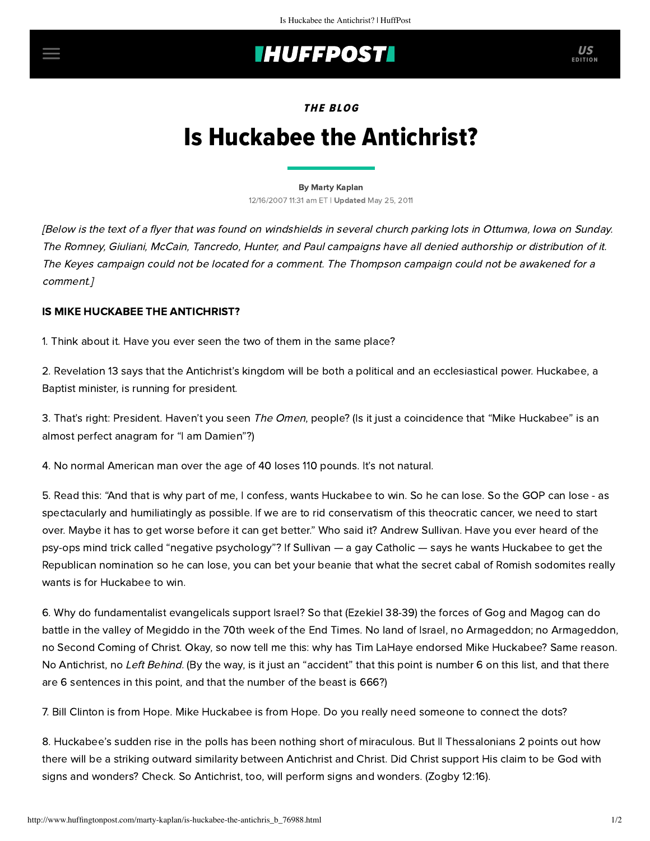## **INUFFPOST**

EDITION

THE BLOG

# Is Huckabee the Antichrist?

#### [By Marty Kaplan](http://www.huffingtonpost.com/author/marty-kaplan)

12/16/2007 11:31 am ET | Updated May 25, 2011

[Below is the text of a flyer that was found on windshields in several church parking lots in Ottumwa, Iowa on Sunday. The Romney, Giuliani, McCain, Tancredo, Hunter, and Paul campaigns have all denied authorship or distribution of it. The Keyes campaign could not be located for a comment. The Thompson campaign could not be awakened for a comment.]

#### IS MIKE HUCKABEE THE ANTICHRIST?

1. Think about it. Have you ever seen the two of them in the same place?

2. Revelation 13 says that the Antichrist's kingdom will be both a political and an ecclesiastical power. Huckabee, a Baptist minister, is running for president.

3. That's right: President. Haven't you seen The Omen, people? (Is it just a coincidence that "Mike Huckabee" is an almost perfect anagram for "I am Damien"?)

4. No normal American man over the age of 40 loses 110 pounds. It's not natural.

5. Read this: "And that is why part of me, I confess, wants Huckabee to win. So he can lose. So the GOP can lose - as spectacularly and humiliatingly as possible. If we are to rid conservatism of this theocratic cancer, we need to start over. Maybe it has to get worse before it can get better." Who said it? [Andrew Sullivan.](http://andrewsullivan.theatlantic.com/the_daily_dish/2007/12/the-right-and-r.html) Have you ever heard of the psy-ops mind trick called "negative psychology"? If Sullivan — a gay Catholic — says he wants Huckabee to get the Republican nomination so he can lose, you can bet your beanie that what the secret cabal of Romish sodomites really wants is for Huckabee to win.

6. Why do fundamentalist evangelicals support Israel? So that (Ezekiel 38-39) the forces of Gog and Magog can do battle in the valley of Megiddo in the 70th week of the End Times. No land of Israel, no Armageddon; no Armageddon, no Second Coming of Christ. Okay, so now tell me this: why has Tim LaHaye endorsed Mike Huckabee? Same reason. No Antichrist, no Left Behind. (By the way, is it just an "accident" that this point is number 6 on this list, and that there are 6 sentences in this point, and that the number of the beast is 666?)

7. Bill Clinton is from Hope. Mike Huckabee is from Hope. Do you really need someone to connect the dots?

8. Huckabee's sudden rise in the polls has been nothing short of miraculous. But II Thessalonians 2 points out how there will be a striking outward similarity between Antichrist and Christ. Did Christ support His claim to be God with signs and wonders? Check. So Antichrist, too, will perform signs and wonders. (Zogby 12:16).